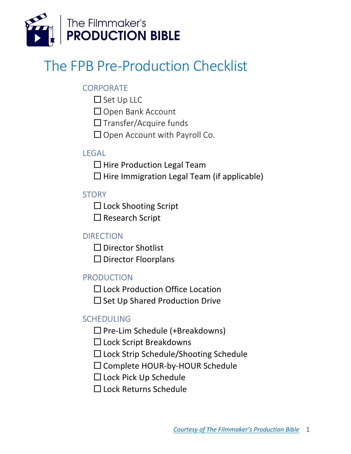

# The FPB Pre-Production Checklist

## **CORPORATE**

- $\square$  Set Up LLC
- □ Open Bank Account
- $\Box$  Transfer/Acquire funds
- $\Box$  Open Account with Payroll Co.

## LEGAL

- $\Box$  Hire Production Legal Team
- $\Box$  Hire Immigration Legal Team (if applicable)

## **STORY**

- $\Box$  Lock Shooting Script
- $\square$  Research Script

#### DIRECTION

- $\square$  Director Shotlist
- $\square$  Director Floorplans

#### PRODUCTION

- □ Lock Production Office Location
- $\square$  Set Up Shared Production Drive

# SCHEDULING

- $\square$  Pre-Lim Schedule (+Breakdowns)
- $\square$  Lock Script Breakdowns
- $\square$  Lock Strip Schedule/Shooting Schedule
- $\square$  Complete HOUR-by-HOUR Schedule
- $\square$  Lock Pick Up Schedule
- $\Box$  Lock Returns Schedule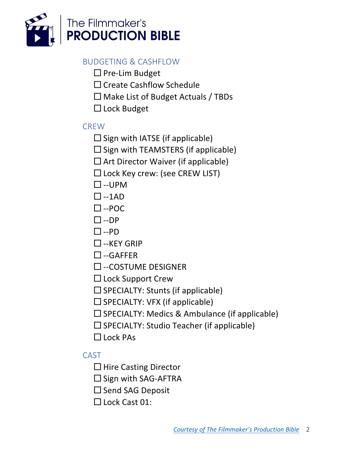

#### BUDGETING & CASHFLOW

- $\square$  Pre-Lim Budget
- $\Box$  Create Cashflow Schedule
- $\Box$  Make List of Budget Actuals / TBDs
- $\Box$  Lock Budget

#### **CREW**

- $\square$  Sign with IATSE (if applicable)
- $\square$  Sign with TEAMSTERS (if applicable)
- $\Box$  Art Director Waiver (if applicable)
- $\square$  Lock Key crew: (see CREW LIST)
- $\square$ --UPM
- $\square$ --1AD
- $\square$ --POC
- $\square$ --DP
- $\square$ --PD
- $\Box$ --KFY GRIP
- $\square$ --GAFFER
- $\square$  --COSTUME DESIGNER
- $\square$  Lock Support Crew
- $\square$  SPECIALTY: Stunts (if applicable)
- $\square$  SPECIALTY: VFX (if applicable)
- $\square$  SPECIALTY: Medics & Ambulance (if applicable)
- $\square$  SPECIALTY: Studio Teacher (if applicable)
- $\Box$  Lock PAs

#### CAST

- $\Box$  Hire Casting Director
- $\square$  Sign with SAG-AFTRA
- $\square$  Send SAG Deposit
- $\Box$  Lock Cast 01: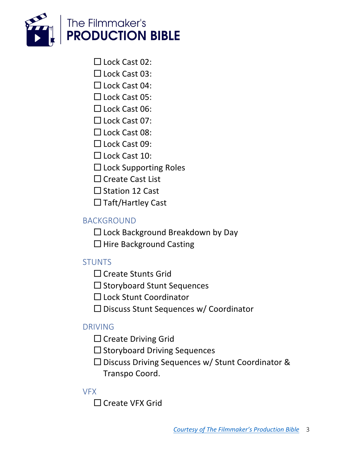

- $\Box$  Lock Cast 02:
- $\Box$  Lock Cast 03:
- $\Box$  Lock Cast 04:
- $\Box$  Lock Cast 05:
- □ Lock Cast 06:
- $\Box$  Lock Cast 07:
- $\Box$  Lock Cast 08:
- $\Box$  Lock Cast 09:
- $\Box$  Lock Cast 10:
- $\Box$  Lock Supporting Roles
- $\Box$  Create Cast List
- $\Box$  Station 12 Cast
- $\Box$  Taft/Hartley Cast

## BACKGROUND

- $\Box$  Lock Background Breakdown by Day
- $\Box$  Hire Background Casting

# **STUNTS**

- $\Box$  Create Stunts Grid
- $\square$  Storyboard Stunt Sequences
- $\square$  Lock Stunt Coordinator
- $\square$  Discuss Stunt Sequences w/ Coordinator

## DRIVING

- $\Box$  Create Driving Grid
- $\square$  Storyboard Driving Sequences
- $\square$  Discuss Driving Sequences w/ Stunt Coordinator & Transpo Coord.

#### VFX

 $\Box$  Create VFX Grid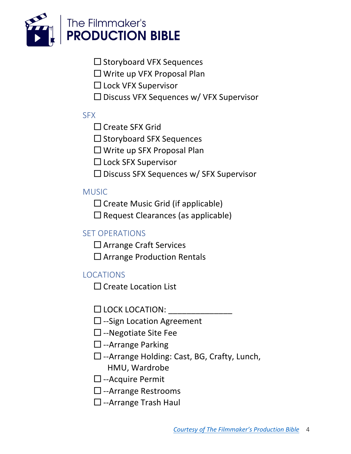

- $\square$  Storyboard VFX Sequences
- $\Box$  Write up VFX Proposal Plan
- □ Lock VFX Supervisor
- $\square$  Discuss VFX Sequences w/ VFX Supervisor

#### **SFX**

- $\Box$  Create SFX Grid
- $\square$  Storyboard SFX Sequences
- $\Box$  Write up SFX Proposal Plan
- □ Lock SFX Supervisor
- $\square$  Discuss SFX Sequences w/ SFX Supervisor

## **MUSIC**

- $\square$  Create Music Grid (if applicable)
- $\square$  Request Clearances (as applicable)

# SET OPERATIONS

- $\Box$  Arrange Craft Services
- $\square$  Arrange Production Rentals

# LOCATIONS

 $\Box$  Create Location List

- $\square$  LOCK LOCATION:
- $\square$  --Sign Location Agreement
- $\square$  --Negotiate Site Fee
- $\square$  --Arrange Parking
- $\square$  --Arrange Holding: Cast, BG, Crafty, Lunch, HMU, Wardrobe
- $\square$  --Acquire Permit
- $\square$  --Arrange Restrooms
- $\square$  --Arrange Trash Haul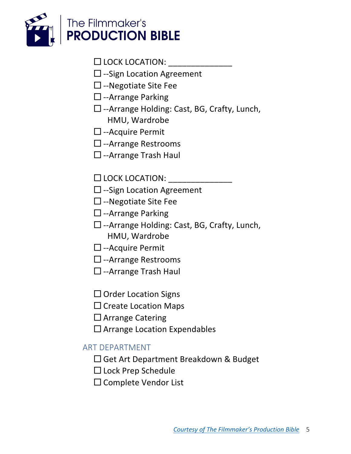

- $\square$  LOCK LOCATION:
- $\square$  --Sign Location Agreement
- $\square$  --Negotiate Site Fee
- $\square$  --Arrange Parking
- □ --Arrange Holding: Cast, BG, Crafty, Lunch, HMU, Wardrobe
- $\Box$  --Acquire Permit
- $\square$  --Arrange Restrooms
- $\square$  --Arrange Trash Haul
- $\square$  LOCK LOCATION:
- $\square$  --Sign Location Agreement
- $\Box$  --Negotiate Site Fee
- $\square$  --Arrange Parking
- $\square$  --Arrange Holding: Cast, BG, Crafty, Lunch, HMU, Wardrobe
- $\Box$  --Acquire Permit
- $\square$  --Arrange Restrooms
- $\Box$  --Arrange Trash Haul
- $\Box$  Order Location Signs
- $\Box$  Create Location Maps
- $\Box$  Arrange Catering
- $\square$  Arrange Location Expendables

#### ART DEPARTMENT

- $\Box$  Get Art Department Breakdown & Budget
- □ Lock Prep Schedule
- $\square$  Complete Vendor List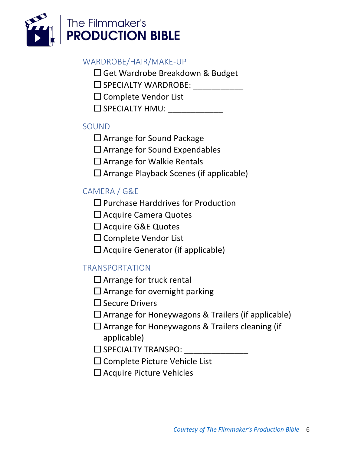

#### WARDROBE/HAIR/MAKE-UP

- $\square$  Get Wardrobe Breakdown & Budget
- $\square$  SPECIALTY WARDROBE:
- $\square$  Complete Vendor List
- $\square$  SPECIALTY HMU:

## SOUND

- $\Box$  Arrange for Sound Package
- $\Box$  Arrange for Sound Expendables
- $\Box$  Arrange for Walkie Rentals
- $\Box$  Arrange Playback Scenes (if applicable)

# CAMERA / G&E

- $\Box$  Purchase Harddrives for Production
- $\Box$  Acquire Camera Quotes
- $\Box$  Acquire G&E Quotes
- $\Box$  Complete Vendor List
- $\Box$  Acquire Generator (if applicable)

# TRANSPORTATION

- $\Box$  Arrange for truck rental
- $\Box$  Arrange for overnight parking
- $\square$  Secure Drivers
- $\Box$  Arrange for Honeywagons & Trailers (if applicable)
- $\square$  Arrange for Honeywagons & Trailers cleaning (if applicable)
- $\square$  SPECIALTY TRANSPO:
- $\square$  Complete Picture Vehicle List
- $\square$  Acquire Picture Vehicles